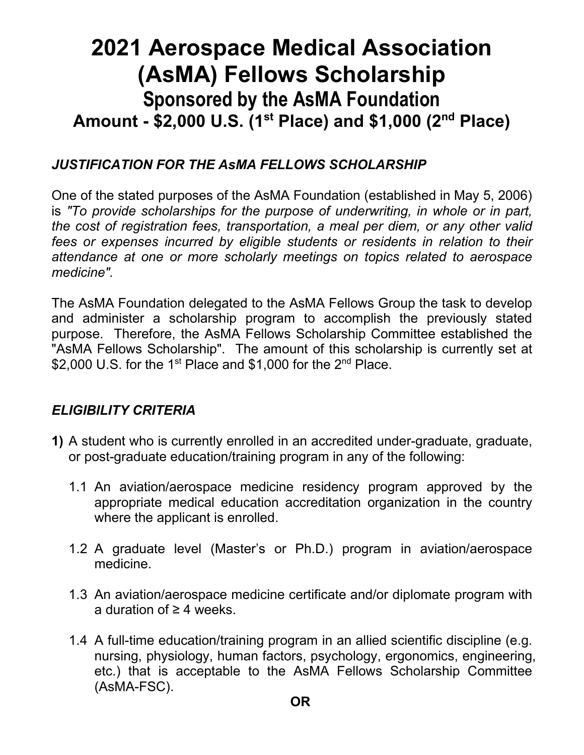# **2021 Aerospace Medical Association (AsMA) Fellows Scholarship Sponsored by the AsMA Foundation Amount - \$2,000 U.S. (1st Place) and \$1,000 (2nd Place)**

#### *JUSTIFICATION FOR THE AsMA FELLOWS SCHOLARSHIP*

One of the stated purposes of the AsMA Foundation (established in May 5, 2006) is *"To provide scholarships for the purpose of underwriting, in whole or in part, the cost of registration fees, transportation, a meal per diem, or any other valid fees or expenses incurred by eligible students or residents in relation to their attendance at one or more scholarly meetings on topics related to aerospace medicine".*

The AsMA Foundation delegated to the AsMA Fellows Group the task to develop and administer a scholarship program to accomplish the previously stated purpose. Therefore, the AsMA Fellows Scholarship Committee established the "AsMA Fellows Scholarship". The amount of this scholarship is currently set at \$2,000 U.S. for the 1<sup>st</sup> Place and \$1,000 for the 2<sup>nd</sup> Place.

#### *ELIGIBILITY CRITERIA*

- **1)** A student who is currently enrolled in an accredited under-graduate, graduate, or post-graduate education/training program in any of the following:
	- 1.1 An aviation/aerospace medicine residency program approved by the appropriate medical education accreditation organization in the country where the applicant is enrolled.
	- 1.2 A graduate level (Master's or Ph.D.) program in aviation/aerospace medicine.
	- 1.3 An aviation/aerospace medicine certificate and/or diplomate program with a duration of ≥ 4 weeks.
	- 1.4 A full-time education/training program in an allied scientific discipline (e.g. nursing, physiology, human factors, psychology, ergonomics, engineering, etc.) that is acceptable to the AsMA Fellows Scholarship Committee (AsMA-FSC).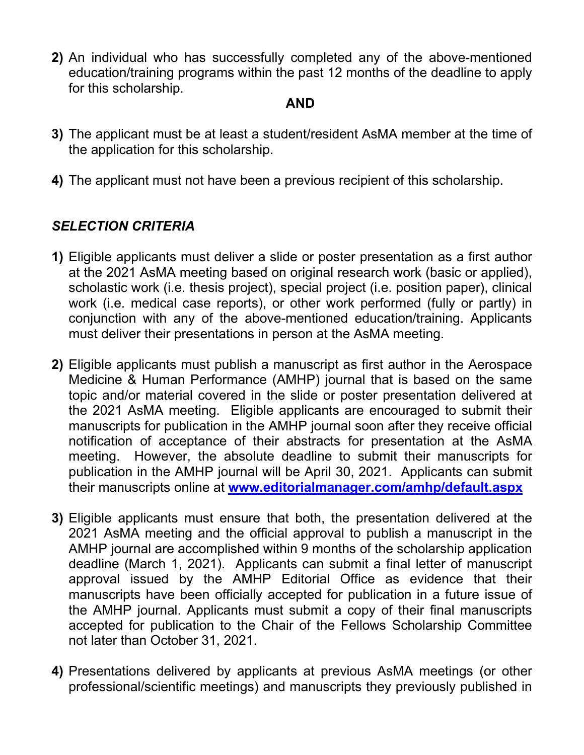**2)** An individual who has successfully completed any of the above-mentioned education/training programs within the past 12 months of the deadline to apply for this scholarship.

#### **AND**

- **3)** The applicant must be at least a student/resident AsMA member at the time of the application for this scholarship.
- **4)** The applicant must not have been a previous recipient of this scholarship.

#### *SELECTION CRITERIA*

- **1)** Eligible applicants must deliver a slide or poster presentation as a first author at the 2021 AsMA meeting based on original research work (basic or applied), scholastic work (i.e. thesis project), special project (i.e. position paper), clinical work (i.e. medical case reports), or other work performed (fully or partly) in conjunction with any of the above-mentioned education/training. Applicants must deliver their presentations in person at the AsMA meeting.
- **2)** Eligible applicants must publish a manuscript as first author in the Aerospace Medicine & Human Performance (AMHP) journal that is based on the same topic and/or material covered in the slide or poster presentation delivered at the 2021 AsMA meeting. Eligible applicants are encouraged to submit their manuscripts for publication in the AMHP journal soon after they receive official notification of acceptance of their abstracts for presentation at the AsMA meeting. However, the absolute deadline to submit their manuscripts for publication in the AMHP journal will be April 30, 2021. Applicants can submit their manuscripts online at **[www.editorialmanager.com/amhp/default.aspx](http://www.editorialmanager.com/amhp/default.aspx)**
- **3)** Eligible applicants must ensure that both, the presentation delivered at the 2021 AsMA meeting and the official approval to publish a manuscript in the AMHP journal are accomplished within 9 months of the scholarship application deadline (March 1, 2021). Applicants can submit a final letter of manuscript approval issued by the AMHP Editorial Office as evidence that their manuscripts have been officially accepted for publication in a future issue of the AMHP journal. Applicants must submit a copy of their final manuscripts accepted for publication to the Chair of the Fellows Scholarship Committee not later than October 31, 2021.
- **4)** Presentations delivered by applicants at previous AsMA meetings (or other professional/scientific meetings) and manuscripts they previously published in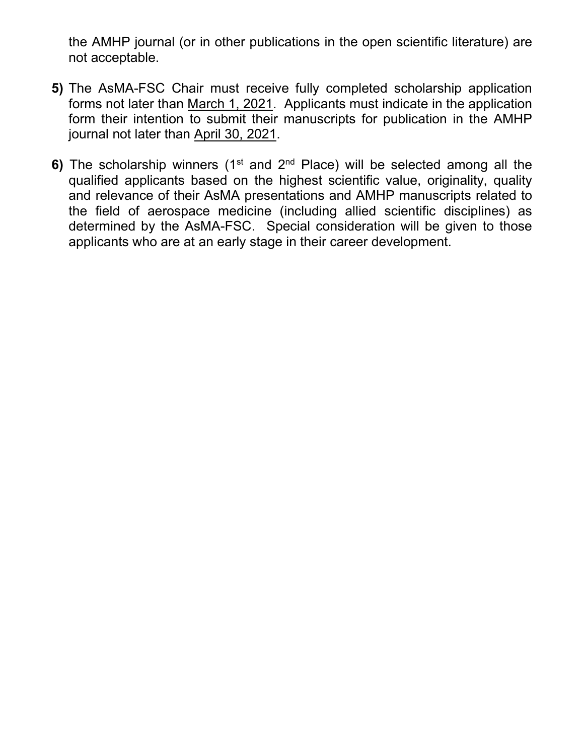the AMHP journal (or in other publications in the open scientific literature) are not acceptable.

- **5)** The AsMA-FSC Chair must receive fully completed scholarship application forms not later than March 1, 2021. Applicants must indicate in the application form their intention to submit their manuscripts for publication in the AMHP journal not later than April 30, 2021.
- **6)** The scholarship winners (1<sup>st</sup> and 2<sup>nd</sup> Place) will be selected among all the qualified applicants based on the highest scientific value, originality, quality and relevance of their AsMA presentations and AMHP manuscripts related to the field of aerospace medicine (including allied scientific disciplines) as determined by the AsMA-FSC. Special consideration will be given to those applicants who are at an early stage in their career development.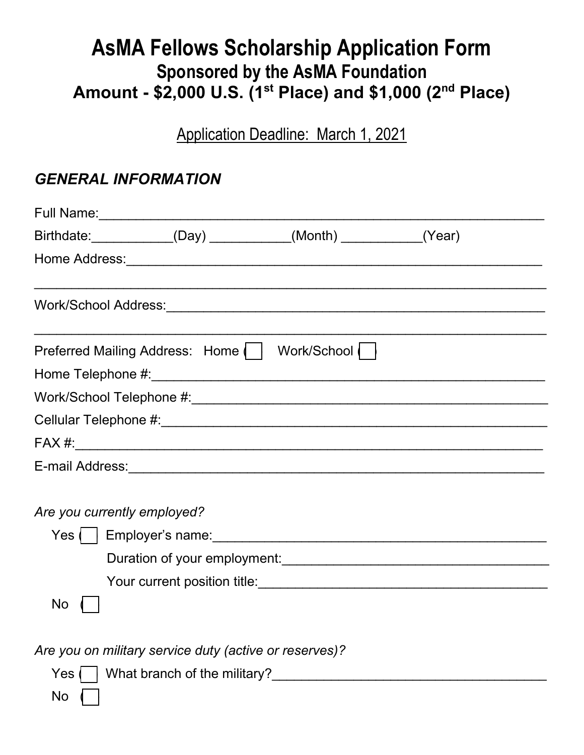# **AsMA Fellows Scholarship Application Form Sponsored by the AsMA Foundation Amount - \$2,000 U.S. (1st Place) and \$1,000 (2nd Place)**

Application Deadline: March 1, 2021

### *GENERAL INFORMATION*

|                             |                                                        | Birthdate: _____________(Day) ___________(Month) __________(Year) |  |
|-----------------------------|--------------------------------------------------------|-------------------------------------------------------------------|--|
|                             |                                                        |                                                                   |  |
|                             |                                                        |                                                                   |  |
|                             |                                                        | Preferred Mailing Address: Home     Work/School                   |  |
|                             |                                                        |                                                                   |  |
|                             |                                                        |                                                                   |  |
|                             |                                                        |                                                                   |  |
|                             |                                                        |                                                                   |  |
|                             |                                                        |                                                                   |  |
| Are you currently employed? |                                                        |                                                                   |  |
| No                          |                                                        |                                                                   |  |
|                             | Are you on military service duty (active or reserves)? |                                                                   |  |
|                             |                                                        |                                                                   |  |

 $No \n\Gamma$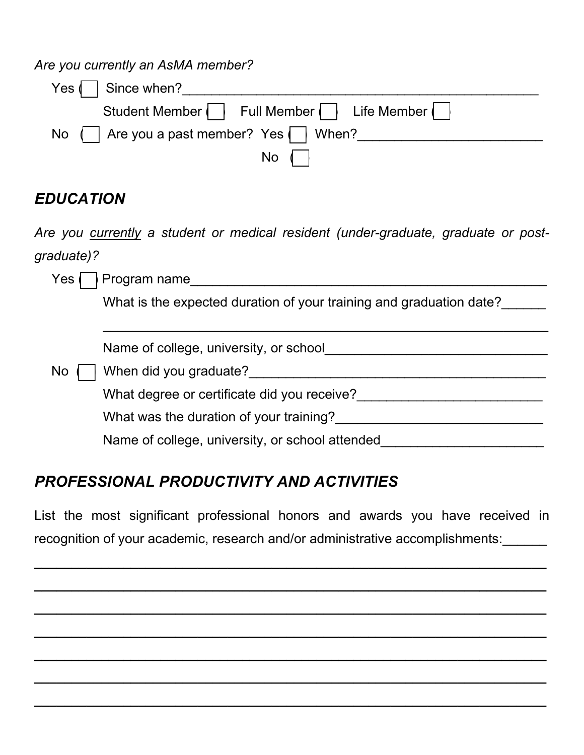*Are you currently an AsMA member?*

| Yes $\vert$   Since when?                                   |
|-------------------------------------------------------------|
| Student Member   Full Member   Life Member                  |
| No $\parallel$ Are you a past member? Yes $\parallel$ When? |
| $No$ $\vert$                                                |

## *EDUCATION*

*Are you currently a student or medical resident (under-graduate, graduate or postgraduate)?* 

| Program name<br>Yes                                                 |
|---------------------------------------------------------------------|
| What is the expected duration of your training and graduation date? |
|                                                                     |
| Name of college, university, or school                              |
| When did you graduate?<br><b>No</b>                                 |
| What degree or certificate did you receive?                         |
| What was the duration of your training?                             |
| Name of college, university, or school attended                     |
|                                                                     |

# *PROFESSIONAL PRODUCTIVITY AND ACTIVITIES*

List the most significant professional honors and awards you have received in recognition of your academic, research and/or administrative accomplishments:\_\_\_\_\_\_

*\_\_\_\_\_\_\_\_\_\_\_\_\_\_\_\_\_\_\_\_\_\_\_\_\_\_\_\_\_\_\_\_\_\_\_\_\_\_\_\_\_\_\_\_\_\_\_\_\_\_\_\_\_\_\_\_\_\_\_\_\_\_\_\_\_\_\_\_\_*

*\_\_\_\_\_\_\_\_\_\_\_\_\_\_\_\_\_\_\_\_\_\_\_\_\_\_\_\_\_\_\_\_\_\_\_\_\_\_\_\_\_\_\_\_\_\_\_\_\_\_\_\_\_\_\_\_\_\_\_\_\_\_\_\_\_\_\_\_\_*

*\_\_\_\_\_\_\_\_\_\_\_\_\_\_\_\_\_\_\_\_\_\_\_\_\_\_\_\_\_\_\_\_\_\_\_\_\_\_\_\_\_\_\_\_\_\_\_\_\_\_\_\_\_\_\_\_\_\_\_\_\_\_\_\_\_\_\_\_\_*

*\_\_\_\_\_\_\_\_\_\_\_\_\_\_\_\_\_\_\_\_\_\_\_\_\_\_\_\_\_\_\_\_\_\_\_\_\_\_\_\_\_\_\_\_\_\_\_\_\_\_\_\_\_\_\_\_\_\_\_\_\_\_\_\_\_\_\_\_\_*

*\_\_\_\_\_\_\_\_\_\_\_\_\_\_\_\_\_\_\_\_\_\_\_\_\_\_\_\_\_\_\_\_\_\_\_\_\_\_\_\_\_\_\_\_\_\_\_\_\_\_\_\_\_\_\_\_\_\_\_\_\_\_\_\_\_\_\_\_\_*

*\_\_\_\_\_\_\_\_\_\_\_\_\_\_\_\_\_\_\_\_\_\_\_\_\_\_\_\_\_\_\_\_\_\_\_\_\_\_\_\_\_\_\_\_\_\_\_\_\_\_\_\_\_\_\_\_\_\_\_\_\_\_\_\_\_\_\_\_\_*

*\_\_\_\_\_\_\_\_\_\_\_\_\_\_\_\_\_\_\_\_\_\_\_\_\_\_\_\_\_\_\_\_\_\_\_\_\_\_\_\_\_\_\_\_\_\_\_\_\_\_\_\_\_\_\_\_\_\_\_\_\_\_\_\_\_\_\_\_\_*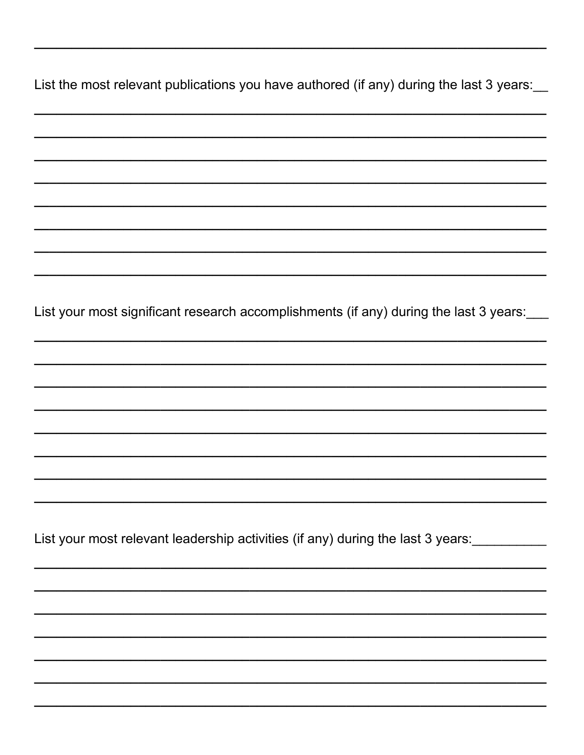List the most relevant publications you have authored (if any) during the last 3 years: List your most significant research accomplishments (if any) during the last 3 years: List your most relevant leadership activities (if any) during the last 3 years: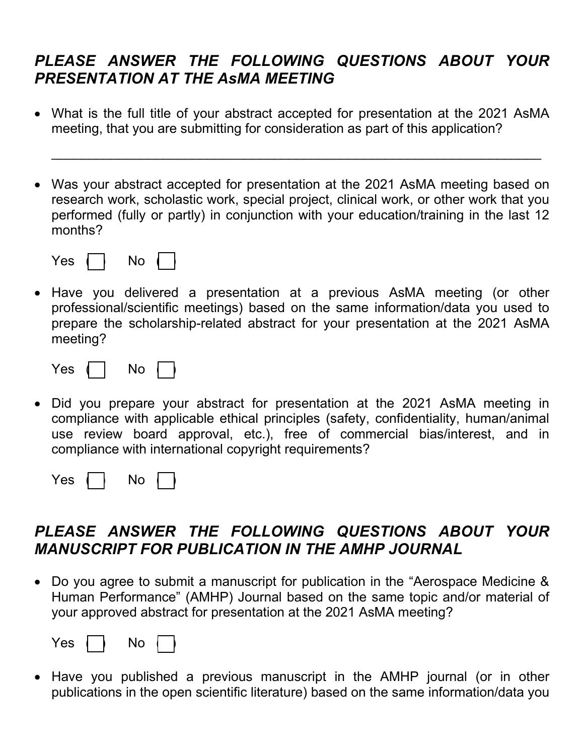### *PLEASE ANSWER THE FOLLOWING QUESTIONS ABOUT YOUR PRESENTATION AT THE AsMA MEETING*

• What is the full title of your abstract accepted for presentation at the 2021 AsMA meeting, that you are submitting for consideration as part of this application?

\_\_\_\_\_\_\_\_\_\_\_\_\_\_\_\_\_\_\_\_\_\_\_\_\_\_\_\_\_\_\_\_\_\_\_\_\_\_\_\_\_\_\_\_\_\_\_\_\_\_\_\_\_\_\_\_\_\_\_\_\_\_\_\_\_\_

• Was your abstract accepted for presentation at the 2021 AsMA meeting based on research work, scholastic work, special project, clinical work, or other work that you performed (fully or partly) in conjunction with your education/training in the last 12 months?

| י |  |  |  |
|---|--|--|--|
|---|--|--|--|

• Have you delivered a presentation at a previous AsMA meeting (or other professional/scientific meetings) based on the same information/data you used to prepare the scholarship-related abstract for your presentation at the 2021 AsMA meeting?

| $\sim$ |  |  |  |
|--------|--|--|--|
|--------|--|--|--|

• Did you prepare your abstract for presentation at the 2021 AsMA meeting in compliance with applicable ethical principles (safety, confidentiality, human/animal use review board approval, etc.), free of commercial bias/interest, and in compliance with international copyright requirements?

| -- | ۱٢<br>$\overline{\phantom{a}}$ |  |  |
|----|--------------------------------|--|--|
|----|--------------------------------|--|--|

### *PLEASE ANSWER THE FOLLOWING QUESTIONS ABOUT YOUR MANUSCRIPT FOR PUBLICATION IN THE AMHP JOURNAL*

• Do you agree to submit a manuscript for publication in the "Aerospace Medicine & Human Performance" (AMHP) Journal based on the same topic and/or material of your approved abstract for presentation at the 2021 AsMA meeting?

| $\sim$ | N٥ |  |
|--------|----|--|
|        |    |  |

• Have you published a previous manuscript in the AMHP journal (or in other publications in the open scientific literature) based on the same information/data you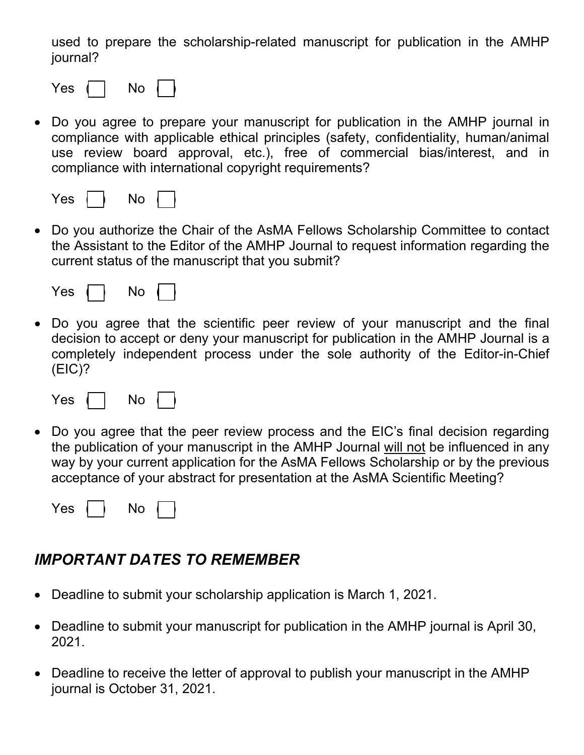used to prepare the scholarship-related manuscript for publication in the AMHP journal?

|--|--|--|--|

• Do you agree to prepare your manuscript for publication in the AMHP journal in compliance with applicable ethical principles (safety, confidentiality, human/animal use review board approval, etc.), free of commercial bias/interest, and in compliance with international copyright requirements?

|--|--|--|--|--|

• Do you authorize the Chair of the AsMA Fellows Scholarship Committee to contact the Assistant to the Editor of the AMHP Journal to request information regarding the current status of the manuscript that you submit?

| - -<br>-- |  |  |  |
|-----------|--|--|--|
|-----------|--|--|--|

• Do you agree that the scientific peer review of your manuscript and the final decision to accept or deny your manuscript for publication in the AMHP Journal is a completely independent process under the sole authority of the Editor-in-Chief (EIC)?

| 89 |  | r |  |
|----|--|---|--|
|----|--|---|--|

• Do you agree that the peer review process and the EIC's final decision regarding the publication of your manuscript in the AMHP Journal will not be influenced in any way by your current application for the AsMA Fellows Scholarship or by the previous acceptance of your abstract for presentation at the AsMA Scientific Meeting?

| -<br>⊷ |  |  |  |  |
|--------|--|--|--|--|
|--------|--|--|--|--|

### *IMPORTANT DATES TO REMEMBER*

- Deadline to submit your scholarship application is March 1, 2021.
- Deadline to submit your manuscript for publication in the AMHP journal is April 30, 2021.
- Deadline to receive the letter of approval to publish your manuscript in the AMHP journal is October 31, 2021.